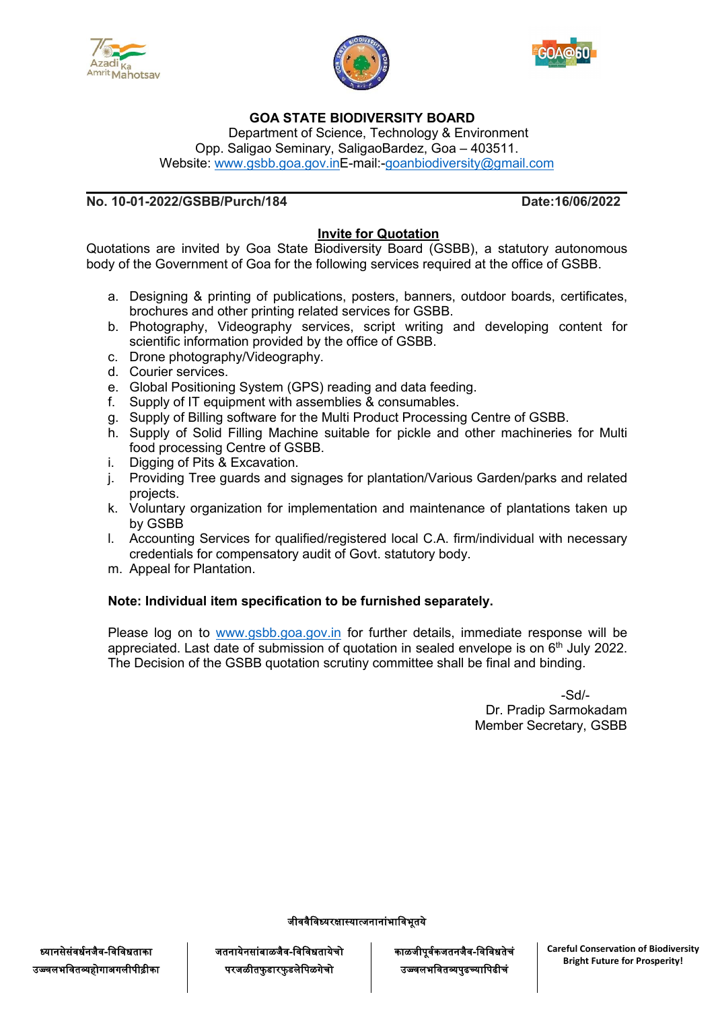





### **GOA STATE BIODIVERSITY BOARD**

Department of Science, Technology & Environment Opp. Saligao Seminary, SaligaoBardez, Goa – 403511. Website: [www.gsbb.goa.gov.inE](http://www.gsbb.goa.gov.in)-mail:[-goanbiodiversity@gmail.com](mailto:goanbiodiversity@gmail.com)

### **No. 10-01-2022/GSBB/Purch/184 Date:16/06/2022**

### **Invite for Quotation**

Quotations are invited by Goa State Biodiversity Board (GSBB), a statutory autonomous body of the Government of Goa for the following services required at the office of GSBB.

- a. Designing & printing of publications, posters, banners, outdoor boards, certificates, brochures and other printing related services for GSBB.
- b. Photography, Videography services, script writing and developing content for scientific information provided by the office of GSBB.
- c. Drone photography/Videography.
- d. Courier services.
- e. Global Positioning System (GPS) reading and data feeding.
- f. Supply of IT equipment with assemblies & consumables.
- g. Supply of Billing software for the Multi Product Processing Centre of GSBB.
- h. Supply of Solid Filling Machine suitable for pickle and other machineries for Multi food processing Centre of GSBB.
- i. Digging of Pits & Excavation.
- j. Providing Tree guards and signages for plantation/Various Garden/parks and related projects.
- k. Voluntary organization for implementation and maintenance of plantations taken up by GSBB
- l. Accounting Services for qualified/registered local C.A. firm/individual with necessary credentials for compensatory audit of Govt. statutory body.
- m. Appeal for Plantation.

#### **Note: Individual item specification to be furnished separately.**

Please log on to [www.gsbb.goa.gov.in](http://www.gsbb.goa.gov.in) for further details, immediate response will be appreciated. Last date of submission of quotation in sealed envelope is on 6<sup>th</sup> July 2022. The Decision of the GSBB quotation scrutiny committee shall be final and binding.

> -Sd/- Dr. Pradip Sarmokadam Member Secretary, GSBB

जीववैविध्यरक्षास्यात्जनानांभाविभूतये

जतनायेनसांबाळजैव-विविधतायेचो परजळीतफुडारफुडलेपिळगेचो

काळजीपूर्वकजतनजैव-विविधतेचं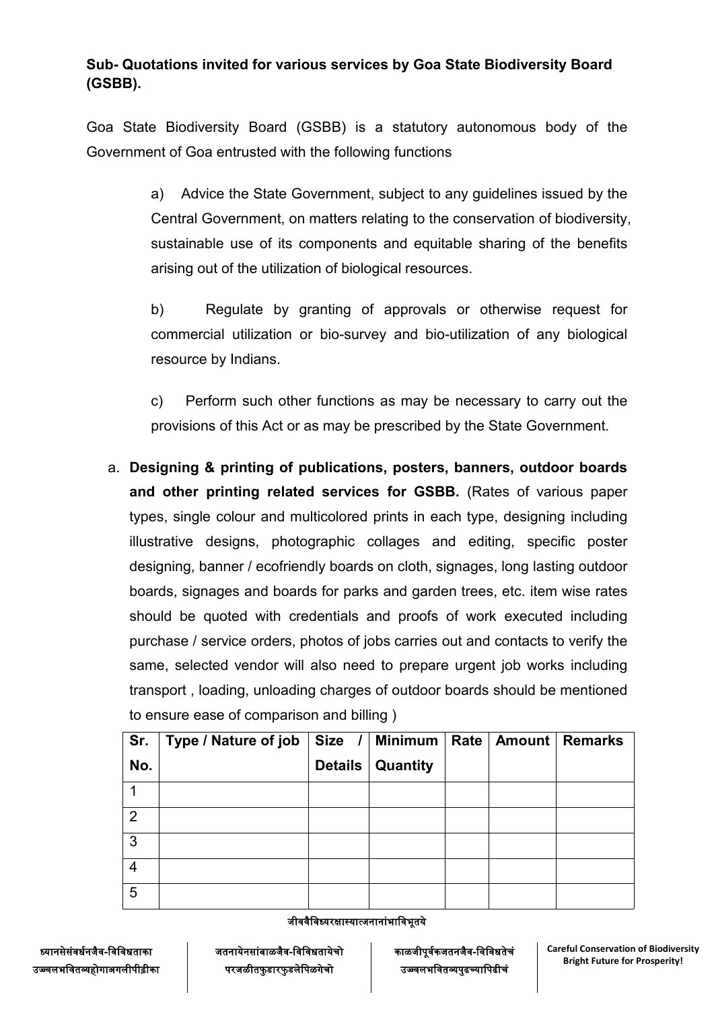# **Sub- Quotations invited for various services by Goa State Biodiversity Board (GSBB).**

Goa State Biodiversity Board (GSBB) is a statutory autonomous body of the Government of Goa entrusted with the following functions

> a) Advice the State Government, subject to any guidelines issued by the Central Government, on matters relating to the conservation of biodiversity, sustainable use of its components and equitable sharing of the benefits arising out of the utilization of biological resources.

> b) Regulate by granting of approvals or otherwise request for commercial utilization or bio-survey and bio-utilization of any biological resource by Indians.

> c) Perform such other functions as may be necessary to carry out the provisions of this Act or as may be prescribed by the State Government.

a. **Designing & printing of publications, posters, banners, outdoor boards and other printing related services for GSBB.** (Rates of various paper types, single colour and multicolored prints in each type, designing including illustrative designs, photographic collages and editing, specific poster designing, banner / ecofriendly boards on cloth, signages, long lasting outdoor boards, signages and boards for parks and garden trees, etc. item wise rates should be quoted with credentials and proofs of work executed including purchase / service orders, photos of jobs carries out and contacts to verify the same, selected vendor will also need to prepare urgent job works including transport , loading, unloading charges of outdoor boards should be mentioned to ensure ease of comparison and billing )

| Sr. | Type / Nature of job   Size /   Minimum   Rate   Amount   Remarks |                |          |  |  |
|-----|-------------------------------------------------------------------|----------------|----------|--|--|
| No. |                                                                   | <b>Details</b> | Quantity |  |  |
|     |                                                                   |                |          |  |  |
| 2   |                                                                   |                |          |  |  |
| 3   |                                                                   |                |          |  |  |
| 4   |                                                                   |                |          |  |  |
| 5   |                                                                   |                |          |  |  |

जीववैविध्यरक्षास्यात्जनानांभाविभूतये

ध्यानसेसंवर्धनजैव-विविधताका उज्ज्वलभवितव्यहोगाअगलीपीढीका जतनायेनसांबाळजैव-विविधतायेचो परजळीतफुडारफुडलेपिळगेचो

काळजीपूर्वकजतनजैव-विविधतेचं

उजवजनववावाुव््कवावीचज **Careful Conservation of Biodiversity Bright Future for Prosperity!**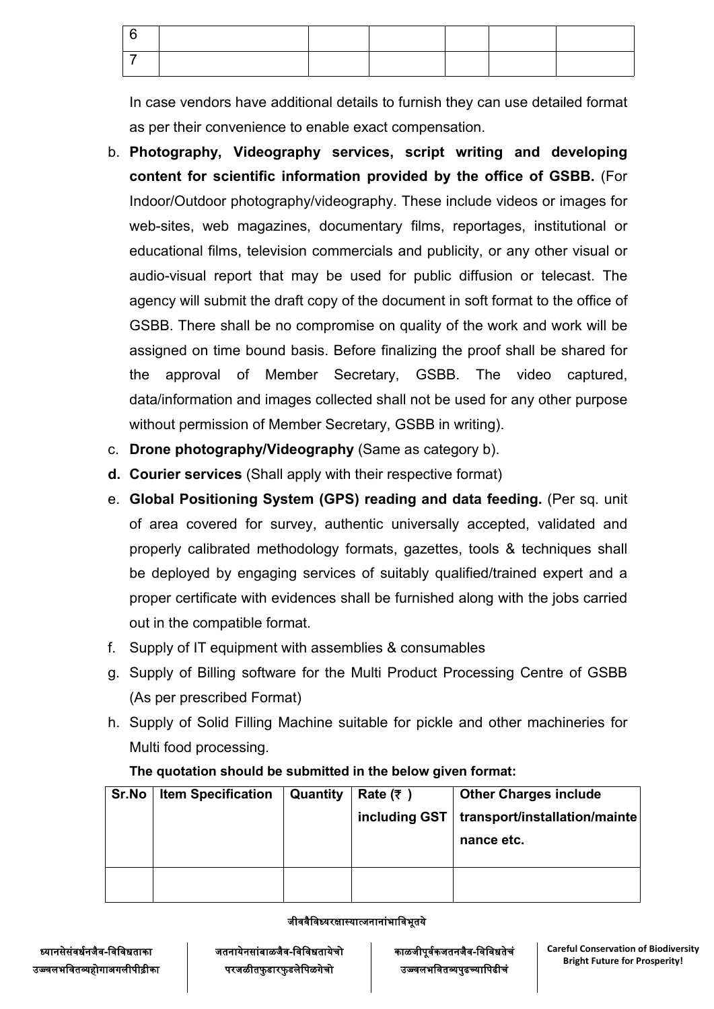In case vendors have additional details to furnish they can use detailed format as per their convenience to enable exact compensation.

- b. **Photography, Videography services, script writing and developing content for scientific information provided by the office of GSBB.** (For Indoor/Outdoor photography/videography. These include videos or images for web-sites, web magazines, documentary films, reportages, institutional or educational films, television commercials and publicity, or any other visual or audio-visual report that may be used for public diffusion or telecast. The agency will submit the draft copy of the document in soft format to the office of GSBB. There shall be no compromise on quality of the work and work will be assigned on time bound basis. Before finalizing the proof shall be shared for the approval of Member Secretary, GSBB. The video captured, data/information and images collected shall not be used for any other purpose without permission of Member Secretary, GSBB in writing).
- c. **Drone photography/Videography** (Same as category b).
- **d. Courier services** (Shall apply with their respective format)
- e. **Global Positioning System (GPS) reading and data feeding.** (Per sq. unit of area covered for survey, authentic universally accepted, validated and properly calibrated methodology formats, gazettes, tools & techniques shall be deployed by engaging services of suitably qualified/trained expert and a proper certificate with evidences shall be furnished along with the jobs carried out in the compatible format.
- f. Supply of IT equipment with assemblies & consumables
- g. Supply of Billing software for the Multi Product Processing Centre of GSBB (As per prescribed Format)
- h. Supply of Solid Filling Machine suitable for pickle and other machineries for Multi food processing.

| Sr.No | <b>Item Specification</b> | Quantity | Rate $(7)$    | <b>Other Charges include</b>  |  |
|-------|---------------------------|----------|---------------|-------------------------------|--|
|       |                           |          | including GST | transport/installation/mainte |  |
|       |                           |          |               | nance etc.                    |  |
|       |                           |          |               |                               |  |
|       |                           |          |               |                               |  |
|       |                           |          |               |                               |  |

## **The quotation should be submitted in the below given format:**

#### जीववैविध्यरक्षास्यात्जनानांभाविभूतये

जतनायेनसांबाळजैव-विविधतायेचो परजळीतफुडारफुडलेपिळगेचो

काळजीपूर्वकजतनजैव-विविधतेचं

उजवजनववावाुव््कवावीचज **Careful Conservation of Biodiversity Bright Future for Prosperity!**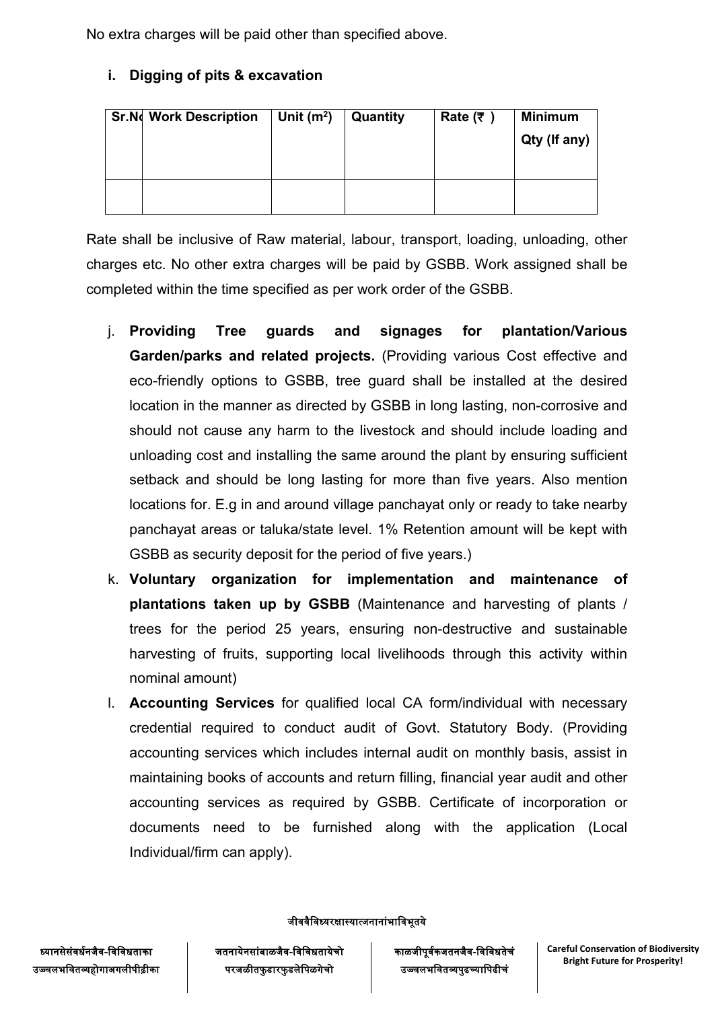No extra charges will be paid other than specified above.

# **i. Digging of pits & excavation**

| <b>Sr.N</b> Work Description | Unit $(m2)$ | Quantity | Rate (₹) | <b>Minimum</b> |
|------------------------------|-------------|----------|----------|----------------|
|                              |             |          |          | Qty (If any)   |
|                              |             |          |          |                |
|                              |             |          |          |                |
|                              |             |          |          |                |

Rate shall be inclusive of Raw material, labour, transport, loading, unloading, other charges etc. No other extra charges will be paid by GSBB. Work assigned shall be completed within the time specified as per work order of the GSBB.

- j. **Providing Tree guards and signages for plantation/Various Garden/parks and related projects.** (Providing various Cost effective and eco-friendly options to GSBB, tree guard shall be installed at the desired location in the manner as directed by GSBB in long lasting, non-corrosive and should not cause any harm to the livestock and should include loading and unloading cost and installing the same around the plant by ensuring sufficient setback and should be long lasting for more than five years. Also mention locations for. E.g in and around village panchayat only or ready to take nearby panchayat areas or taluka/state level. 1% Retention amount will be kept with GSBB as security deposit for the period of five years.)
- k. **Voluntary organization for implementation and maintenance of plantations taken up by GSBB** (Maintenance and harvesting of plants / trees for the period 25 years, ensuring non-destructive and sustainable harvesting of fruits, supporting local livelihoods through this activity within nominal amount)
- l. **Accounting Services** for qualified local CA form/individual with necessary credential required to conduct audit of Govt. Statutory Body. (Providing accounting services which includes internal audit on monthly basis, assist in maintaining books of accounts and return filling, financial year audit and other accounting services as required by GSBB. Certificate of incorporation or documents need to be furnished along with the application (Local Individual/firm can apply).

जीववैविध्यरक्षास्यात्जनानांभाविभूतये

ध्यानसेसंवर्धनजैव-विविधताका उज्ज्वलभवितव्यहोगाअगलीपीढ़ीका जतनायेनसांबाळजैव-विविधतायेचो परजळीतफुडारफुडलेपिळगेचो

काळजीपूर्वकजतनजैव-विविधतेचं

उजवजनववावाुव््कवावीचज **Careful Conservation of Biodiversity Bright Future for Prosperity!**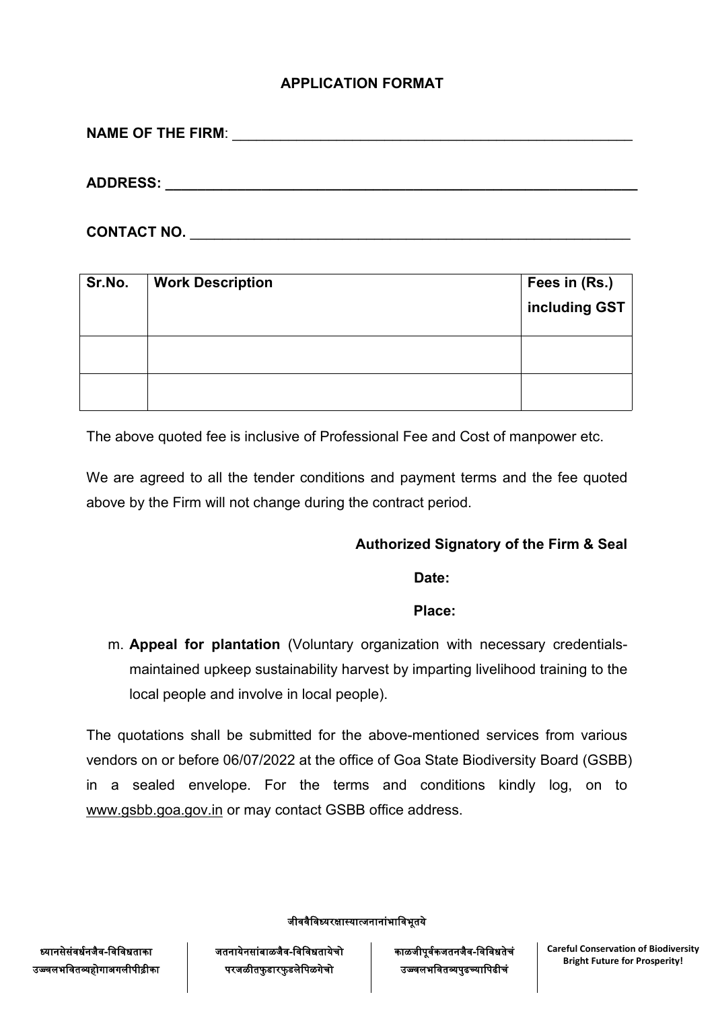# **APPLICATION FORMAT**

**NAME OF THE FIRM**: \_\_\_\_\_\_\_\_\_\_\_\_\_\_\_\_\_\_\_\_\_\_\_\_\_\_\_\_\_\_\_\_\_\_\_\_\_\_\_\_\_\_\_\_\_\_\_\_\_\_

**ADDRESS: \_\_\_\_\_\_\_\_\_\_\_\_\_\_\_\_\_\_\_\_\_\_\_\_\_\_\_\_\_\_\_\_\_\_\_\_\_\_\_\_\_\_\_\_\_\_\_\_\_\_\_\_\_\_\_\_\_\_\_**

**CONTACT NO.** \_\_\_\_\_\_\_\_\_\_\_\_\_\_\_\_\_\_\_\_\_\_\_\_\_\_\_\_\_\_\_\_\_\_\_\_\_\_\_\_\_\_\_\_\_\_\_\_\_\_\_\_\_\_\_

| Sr.No. | <b>Work Description</b> | Fees in (Rs.)<br>including GST |
|--------|-------------------------|--------------------------------|
|        |                         |                                |
|        |                         |                                |

The above quoted fee is inclusive of Professional Fee and Cost of manpower etc.

We are agreed to all the tender conditions and payment terms and the fee quoted above by the Firm will not change during the contract period.

## **Authorized Signatory of the Firm & Seal**

**Date:**

**Place:**

m. **Appeal for plantation** (Voluntary organization with necessary credentials maintained upkeep sustainability harvest by imparting livelihood training to the local people and involve in local people).

The quotations shall be submitted for the above-mentioned services from various vendors on or before 06/07/2022 at the office of Goa State Biodiversity Board (GSBB) in a sealed envelope. For the terms and conditions kindly log, on to [www.gsbb.goa.gov.in](http://www.gsbb.goa.gov.in) or may contact GSBB office address.

जीववैविध्यरक्षास्यात्जनानांभाविभूतये

ध्यानसेसंवर्धनजैव-विविधताका उज्ज्वलभवितव्यहोगाअगलीपीढ़ीका जतनायेनसांबाळजैव-विविधतायेचो परजळीतफुडारफुडलेपिळगेचो

काळजीपूर्वकजतनजैव-विविधतेचं उजवजनववावाुव््कवावीचज **Careful Conservation of Biodiversity**

**Bright Future for Prosperity!**